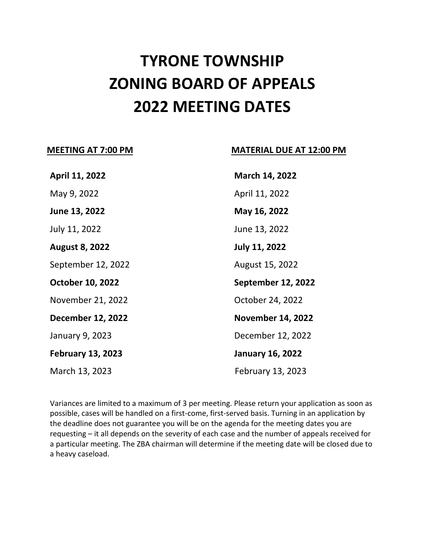# **TYRONE TOWNSHIP ZONING BOARD OF APPEALS 2022 MEETING DATES**

## **MEETING AT 7:00 PM MATERIAL DUE AT 12:00 PM**

| March 14, 2022            |
|---------------------------|
| April 11, 2022            |
| May 16, 2022              |
| June 13, 2022             |
| <b>July 11, 2022</b>      |
| August 15, 2022           |
| <b>September 12, 2022</b> |
|                           |
| October 24, 2022          |
| <b>November 14, 2022</b>  |
| December 12, 2022         |
| <b>January 16, 2022</b>   |
|                           |

Variances are limited to a maximum of 3 per meeting. Please return your application as soon as possible, cases will be handled on a first-come, first-served basis. Turning in an application by the deadline does not guarantee you will be on the agenda for the meeting dates you are requesting – it all depends on the severity of each case and the number of appeals received for a particular meeting. The ZBA chairman will determine if the meeting date will be closed due to a heavy caseload.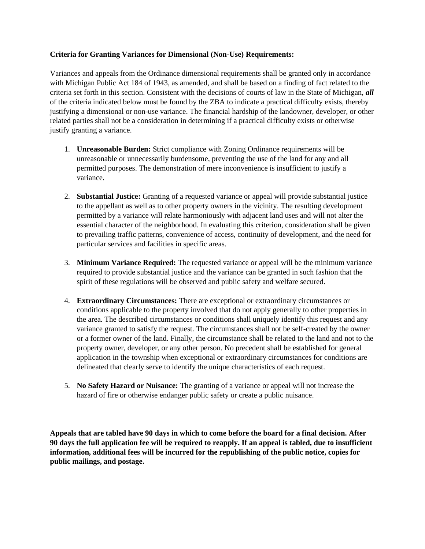#### **Criteria for Granting Variances for Dimensional (Non-Use) Requirements:**

Variances and appeals from the Ordinance dimensional requirements shall be granted only in accordance with Michigan Public Act 184 of 1943, as amended, and shall be based on a finding of fact related to the criteria set forth in this section. Consistent with the decisions of courts of law in the State of Michigan, *all* of the criteria indicated below must be found by the ZBA to indicate a practical difficulty exists, thereby justifying a dimensional or non-use variance. The financial hardship of the landowner, developer, or other related parties shall not be a consideration in determining if a practical difficulty exists or otherwise justify granting a variance.

- 1. **Unreasonable Burden:** Strict compliance with Zoning Ordinance requirements will be unreasonable or unnecessarily burdensome, preventing the use of the land for any and all permitted purposes. The demonstration of mere inconvenience is insufficient to justify a variance.
- 2. **Substantial Justice:** Granting of a requested variance or appeal will provide substantial justice to the appellant as well as to other property owners in the vicinity. The resulting development permitted by a variance will relate harmoniously with adjacent land uses and will not alter the essential character of the neighborhood. In evaluating this criterion, consideration shall be given to prevailing traffic patterns, convenience of access, continuity of development, and the need for particular services and facilities in specific areas.
- 3. **Minimum Variance Required:** The requested variance or appeal will be the minimum variance required to provide substantial justice and the variance can be granted in such fashion that the spirit of these regulations will be observed and public safety and welfare secured.
- 4. **Extraordinary Circumstances:** There are exceptional or extraordinary circumstances or conditions applicable to the property involved that do not apply generally to other properties in the area. The described circumstances or conditions shall uniquely identify this request and any variance granted to satisfy the request. The circumstances shall not be self-created by the owner or a former owner of the land. Finally, the circumstance shall be related to the land and not to the property owner, developer, or any other person. No precedent shall be established for general application in the township when exceptional or extraordinary circumstances for conditions are delineated that clearly serve to identify the unique characteristics of each request.
- 5. **No Safety Hazard or Nuisance:** The granting of a variance or appeal will not increase the hazard of fire or otherwise endanger public safety or create a public nuisance.

**Appeals that are tabled have 90 days in which to come before the board for a final decision. After 90 days the full application fee will be required to reapply. If an appeal is tabled, due to insufficient information, additional fees will be incurred for the republishing of the public notice, copies for public mailings, and postage.**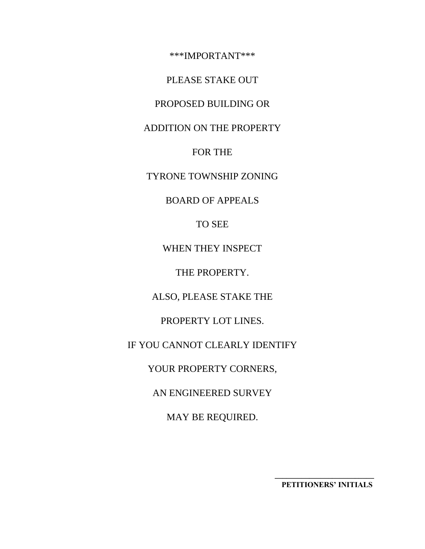\*\*\*IMPORTANT\*\*\*

PLEASE STAKE OUT

PROPOSED BUILDING OR

ADDITION ON THE PROPERTY

FOR THE

TYRONE TOWNSHIP ZONING

BOARD OF APPEALS

TO SEE

WHEN THEY INSPECT

THE PROPERTY.

ALSO, PLEASE STAKE THE

PROPERTY LOT LINES.

IF YOU CANNOT CLEARLY IDENTIFY

YOUR PROPERTY CORNERS,

AN ENGINEERED SURVEY

MAY BE REQUIRED.

**\_\_\_\_\_\_\_\_\_\_\_\_\_\_\_\_\_\_\_\_\_\_\_\_\_\_ PETITIONERS' INITIALS**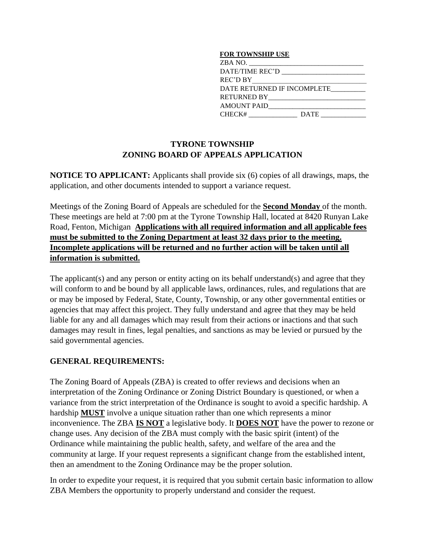#### **FOR TOWNSHIP USE**

| ZBA NO.                     |
|-----------------------------|
| DATE/TIME REC'D             |
| REC'D BY                    |
| DATE RETURNED IF INCOMPLETE |
| <b>RETURNED BY</b>          |
| <b>AMOUNT PAID</b>          |
| CHECK#<br><b>DATE</b>       |
|                             |

# **TYRONE TOWNSHIP ZONING BOARD OF APPEALS APPLICATION**

**NOTICE TO APPLICANT:** Applicants shall provide six (6) copies of all drawings, maps, the application, and other documents intended to support a variance request.

Meetings of the Zoning Board of Appeals are scheduled for the **Second Monday** of the month. These meetings are held at 7:00 pm at the Tyrone Township Hall, located at 8420 Runyan Lake Road, Fenton, Michigan **Applications with all required information and all applicable fees must be submitted to the Zoning Department at least 32 days prior to the meeting. Incomplete applications will be returned and no further action will be taken until all information is submitted.** 

The applicant(s) and any person or entity acting on its behalf understand(s) and agree that they will conform to and be bound by all applicable laws, ordinances, rules, and regulations that are or may be imposed by Federal, State, County, Township, or any other governmental entities or agencies that may affect this project. They fully understand and agree that they may be held liable for any and all damages which may result from their actions or inactions and that such damages may result in fines, legal penalties, and sanctions as may be levied or pursued by the said governmental agencies.

### **GENERAL REQUIREMENTS:**

The Zoning Board of Appeals (ZBA) is created to offer reviews and decisions when an interpretation of the Zoning Ordinance or Zoning District Boundary is questioned, or when a variance from the strict interpretation of the Ordinance is sought to avoid a specific hardship. A hardship **MUST** involve a unique situation rather than one which represents a minor inconvenience. The ZBA **IS NOT** a legislative body. It **DOES NOT** have the power to rezone or change uses. Any decision of the ZBA must comply with the basic spirit (intent) of the Ordinance while maintaining the public health, safety, and welfare of the area and the community at large. If your request represents a significant change from the established intent, then an amendment to the Zoning Ordinance may be the proper solution.

In order to expedite your request, it is required that you submit certain basic information to allow ZBA Members the opportunity to properly understand and consider the request.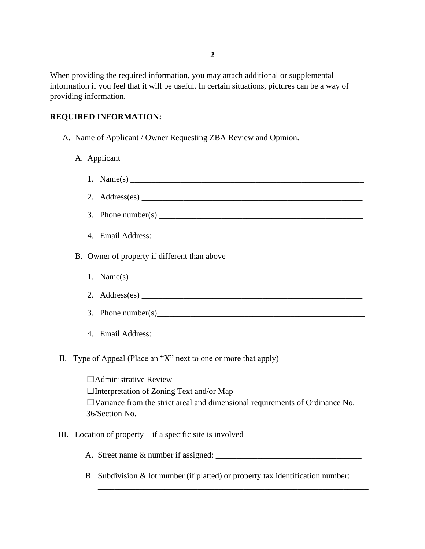When providing the required information, you may attach additional or supplemental information if you feel that it will be useful. In certain situations, pictures can be a way of providing information.

#### **REQUIRED INFORMATION:**

- A. Name of Applicant / Owner Requesting ZBA Review and Opinion.
	- A. Applicant
- 1. Name $(s)$ 2.  $\Delta \text{Address}(\text{es})$ 3. Phone number(s) \_\_\_\_\_\_\_\_\_\_\_\_\_\_\_\_\_\_\_\_\_\_\_\_\_\_\_\_\_\_\_\_\_\_\_\_\_\_\_\_\_\_\_\_\_\_\_\_\_ 4. Email Address: B. Owner of property if different than above 1. Name(s) \_\_\_\_\_\_\_\_\_\_\_\_\_\_\_\_\_\_\_\_\_\_\_\_\_\_\_\_\_\_\_\_\_\_\_\_\_\_\_\_\_\_\_\_\_\_\_\_\_\_\_\_\_\_\_\_ 2. Address(es) \_\_\_\_\_\_\_\_\_\_\_\_\_\_\_\_\_\_\_\_\_\_\_\_\_\_\_\_\_\_\_\_\_\_\_\_\_\_\_\_\_\_\_\_\_\_\_\_\_\_\_\_\_ 3. Phone number(s) 4. Email Address: \_\_\_\_\_\_\_\_\_\_\_\_\_\_\_\_\_\_\_\_\_\_\_\_\_\_\_\_\_\_\_\_\_\_\_\_\_\_\_\_\_\_\_\_\_\_\_\_\_\_\_ II. Type of Appeal (Place an "X" next to one or more that apply)  $\Box$ Administrative Review ☐Interpretation of Zoning Text and/or Map ☐Variance from the strict areal and dimensional requirements of Ordinance No.
- III. Location of property if a specific site is involved

36/Section No. \_\_\_\_\_\_\_\_\_\_\_\_\_\_\_\_\_\_\_\_\_\_\_\_\_\_\_\_\_\_\_\_\_\_\_\_\_\_\_\_\_\_\_\_\_\_\_\_\_

A. Street name & number if assigned: \_\_\_\_\_\_\_\_\_\_\_\_\_\_\_\_\_\_\_\_\_\_\_\_\_\_\_\_\_\_\_\_\_\_\_

B. Subdivision & lot number (if platted) or property tax identification number:

\_\_\_\_\_\_\_\_\_\_\_\_\_\_\_\_\_\_\_\_\_\_\_\_\_\_\_\_\_\_\_\_\_\_\_\_\_\_\_\_\_\_\_\_\_\_\_\_\_\_\_\_\_\_\_\_\_\_\_\_\_\_\_\_\_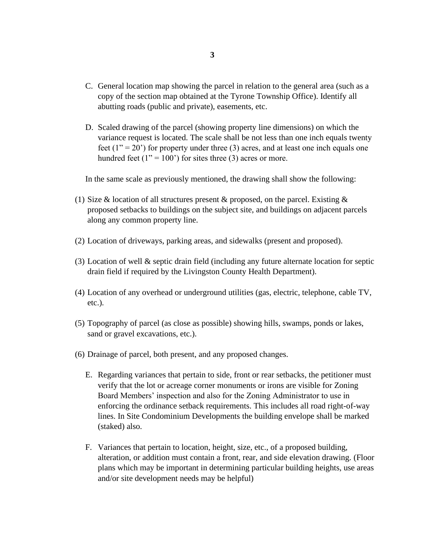- C. General location map showing the parcel in relation to the general area (such as a copy of the section map obtained at the Tyrone Township Office). Identify all abutting roads (public and private), easements, etc.
- D. Scaled drawing of the parcel (showing property line dimensions) on which the variance request is located. The scale shall be not less than one inch equals twenty feet  $(1'' = 20')$  for property under three (3) acres, and at least one inch equals one hundred feet  $(1" = 100")$  for sites three (3) acres or more.

In the same scale as previously mentioned, the drawing shall show the following:

- (1) Size & location of all structures present & proposed, on the parcel. Existing  $\&$ proposed setbacks to buildings on the subject site, and buildings on adjacent parcels along any common property line.
- (2) Location of driveways, parking areas, and sidewalks (present and proposed).
- (3) Location of well & septic drain field (including any future alternate location for septic drain field if required by the Livingston County Health Department).
- (4) Location of any overhead or underground utilities (gas, electric, telephone, cable TV, etc.).
- (5) Topography of parcel (as close as possible) showing hills, swamps, ponds or lakes, sand or gravel excavations, etc.).
- (6) Drainage of parcel, both present, and any proposed changes.
	- E. Regarding variances that pertain to side, front or rear setbacks, the petitioner must verify that the lot or acreage corner monuments or irons are visible for Zoning Board Members' inspection and also for the Zoning Administrator to use in enforcing the ordinance setback requirements. This includes all road right-of-way lines. In Site Condominium Developments the building envelope shall be marked (staked) also.
	- F. Variances that pertain to location, height, size, etc., of a proposed building, alteration, or addition must contain a front, rear, and side elevation drawing. (Floor plans which may be important in determining particular building heights, use areas and/or site development needs may be helpful)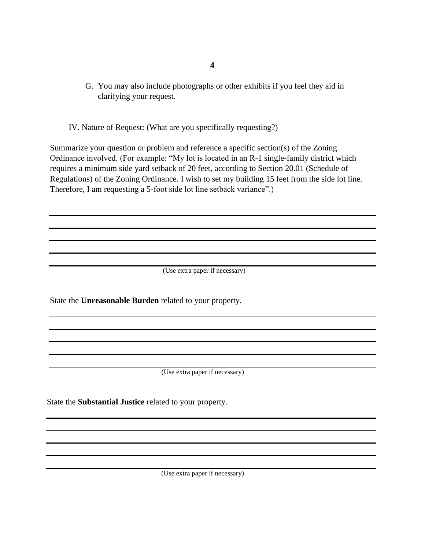- **4**
- G. You may also include photographs or other exhibits if you feel they aid in clarifying your request.

IV. Nature of Request: (What are you specifically requesting?)

Summarize your question or problem and reference a specific section(s) of the Zoning Ordinance involved. (For example: "My lot is located in an R-1 single-family district which requires a minimum side yard setback of 20 feet, according to Section 20.01 (Schedule of Regulations) of the Zoning Ordinance. I wish to set my building 15 feet from the side lot line. Therefore, I am requesting a 5-foot side lot line setback variance".)

(Use extra paper if necessary)

State the **Unreasonable Burden** related to your property.

(Use extra paper if necessary)

State the **Substantial Justice** related to your property.

(Use extra paper if necessary)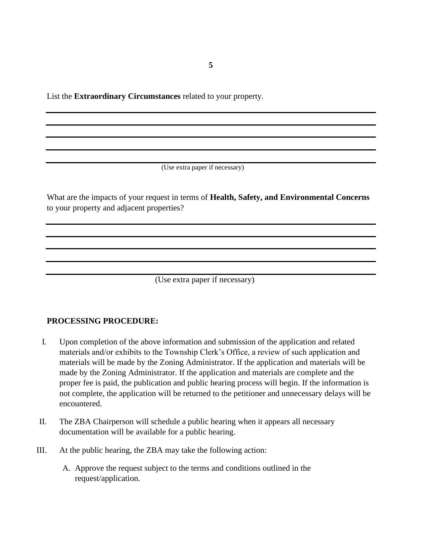**5**

List the **Extraordinary Circumstances** related to your property.

(Use extra paper if necessary)

What are the impacts of your request in terms of **Health, Safety, and Environmental Concerns** to your property and adjacent properties?

(Use extra paper if necessary)

### **PROCESSING PROCEDURE:**

- I. Upon completion of the above information and submission of the application and related materials and/or exhibits to the Township Clerk's Office, a review of such application and materials will be made by the Zoning Administrator. If the application and materials will be made by the Zoning Administrator. If the application and materials are complete and the proper fee is paid, the publication and public hearing process will begin. If the information is not complete, the application will be returned to the petitioner and unnecessary delays will be encountered.
- II. The ZBA Chairperson will schedule a public hearing when it appears all necessary documentation will be available for a public hearing.
- III. At the public hearing, the ZBA may take the following action:
	- A. Approve the request subject to the terms and conditions outlined in the request/application.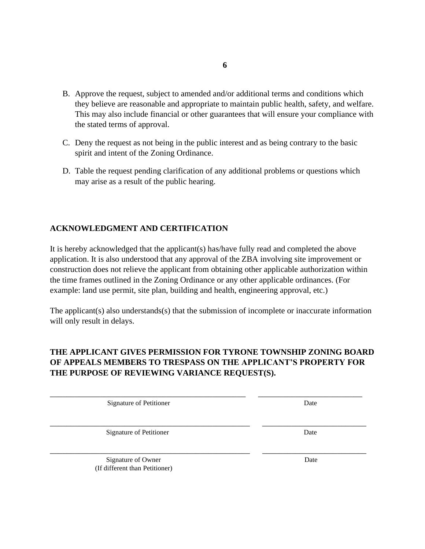- B. Approve the request, subject to amended and/or additional terms and conditions which they believe are reasonable and appropriate to maintain public health, safety, and welfare. This may also include financial or other guarantees that will ensure your compliance with the stated terms of approval.
- C. Deny the request as not being in the public interest and as being contrary to the basic spirit and intent of the Zoning Ordinance.
- D. Table the request pending clarification of any additional problems or questions which may arise as a result of the public hearing.

### **ACKNOWLEDGMENT AND CERTIFICATION**

It is hereby acknowledged that the applicant(s) has/have fully read and completed the above application. It is also understood that any approval of the ZBA involving site improvement or construction does not relieve the applicant from obtaining other applicable authorization within the time frames outlined in the Zoning Ordinance or any other applicable ordinances. (For example: land use permit, site plan, building and health, engineering approval, etc.)

The applicant(s) also understands(s) that the submission of incomplete or inaccurate information will only result in delays.

# **THE APPLICANT GIVES PERMISSION FOR TYRONE TOWNSHIP ZONING BOARD OF APPEALS MEMBERS TO TRESPASS ON THE APPLICANT'S PROPERTY FOR THE PURPOSE OF REVIEWING VARIANCE REQUEST(S).**

\_\_\_\_\_\_\_\_\_\_\_\_\_\_\_\_\_\_\_\_\_\_\_\_\_\_\_\_\_\_\_\_\_\_\_\_\_\_\_\_\_\_\_\_\_\_\_ \_\_\_\_\_\_\_\_\_\_\_\_\_\_\_\_\_\_\_\_\_\_\_\_\_

\_\_\_\_\_\_\_\_\_\_\_\_\_\_\_\_\_\_\_\_\_\_\_\_\_\_\_\_\_\_\_\_\_\_\_\_\_\_\_\_\_\_\_\_\_\_\_\_ \_\_\_\_\_\_\_\_\_\_\_\_\_\_\_\_\_\_\_\_\_\_\_\_\_

\_\_\_\_\_\_\_\_\_\_\_\_\_\_\_\_\_\_\_\_\_\_\_\_\_\_\_\_\_\_\_\_\_\_\_\_\_\_\_\_\_\_\_\_\_\_\_\_ \_\_\_\_\_\_\_\_\_\_\_\_\_\_\_\_\_\_\_\_\_\_\_\_\_

Signature of Petitioner Date

Signature of Petitioner Date

Signature of Owner Date (If different than Petitioner)